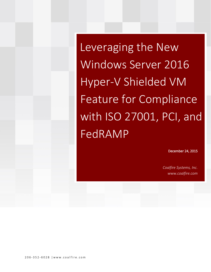Leveraging the New Windows Server 2016 Hyper-V Shielded VM Feature for Compliance with ISO 27001, PCI, and FedRAMP

December 24, 2015

*Coalfire Systems, Inc. www.coalfire.com*

206-352-6028 | www.coalfire.com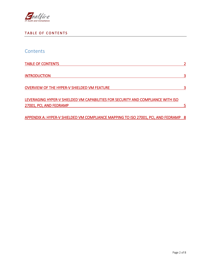

### <span id="page-1-0"></span>TABLE OF CONTENTS

| Contents                                                                                                    |     |
|-------------------------------------------------------------------------------------------------------------|-----|
| <b>TABLE OF CONTENTS</b>                                                                                    |     |
| <b>INTRODUCTION</b>                                                                                         |     |
| <b>OVERVIEW OF THE HYPER-V SHIELDED VM FEATURE</b>                                                          |     |
| LEVERAGING HYPER-V SHIELDED VM CAPABILITIES FOR SECURITY AND COMPLIANCE WITH ISO<br>27001, PCI, AND FEDRAMP |     |
| APPENDIX A: HYPER-V SHIELDED VM COMPLIANCE MAPPING TO ISO 27001, PCI, AND FEDRAMP                           | - 8 |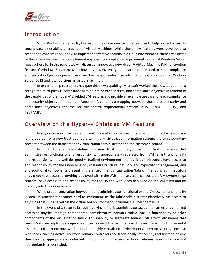

## <span id="page-2-0"></span>**Introduction**

With Windows Server 2016, Microsoft introduces new security features to help protect access to tenant data by enabling encryption of Virtual Machines. While these new features were developed to respond to concerns about how to implement effective security in a cloud environment, there are aspects of these new features that complement any existing compliance requirements a user of Windows Server must adhere to. In this paper, we will discuss an innovative new Hyper-V Virtual Machine (VM) encryption feature of Windows Server 2016 and how this new VM encryption feature can be used to meet compliance and security objectives present in many business or enterprise information systems running Windows Server 2012 and later versions as virtual machines.

In order to help customers navigate this new capability, Microsoft worked closely with Coalfire, a recognized third-party IT compliance firm, to define each security and compliance objective in relation to the capabilities of the Hyper-V Shielded VM feature, and provide an example use case for each compliance and security objective. In addition, Appendix A contains a mapping between these broad security and compliance objectives and the security control requirements present in ISO 27001, PCI DSS, and FedRAMP.

## <span id="page-2-1"></span>Overview of the Hyper-V Shielded VM Feature

In any discussion of virtualization and information system security, one commonly discussed issue is the addition of a new trust boundary within any virtualized information system: the trust boundary present between the datacenter or virtualization administrator and the customer 'tenant'.

In order to adequately define this new trust boundary, it is important to ensure that administrative functionality and responsibility is appropriately separated from VM tenant functionality and responsibility. In a well-designed virtualized environment, the fabric administrators have access to and responsibility for the underlying physical infrastructure, network and hypervisor management, and any additional components present in the environment virtualization 'fabric'. The fabric administrators should not have access to anything deployed within the VMs themselves. In contrast, the VM owners (e.g.: tenants) have access to and responsibility for the OS and workloads deployed on the VM itself and no visibility into the underlying fabric.

While proper separation between fabric administrator functionality and VM owner functionality is ideal, in practice it becomes hard to implement, as the fabric administrator effectively has access to anything that is in use within the virtualized environment, including the VMs themselves.

In the event of a security breach involving a fabric administrator account or other unauthorized access to physical storage components, administrative network traffic, backup functionality or other components of the virtualization fabric, this inability to segregate tenant VMs effectively means that tenant VMs are implicitly compromised the moment the security breach takes place. This fundamental issue has led to numerous workarounds in highly virtualized environments – certain security sensitive workloads, such as Active Directory Domain Controllers are traditionally left on physical hosts to ensure they can be appropriately protected without granting access to fabric administrators who are not appropriately credentialed.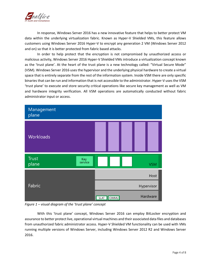

In response, Windows Server 2016 has a new innovative feature that helps to better protect VM data within the underlying virtualization fabric. Known as Hyper-V Shielded VMs, this feature allows customers using Windows Server 2016 Hyper-V to encrypt any generation 2 VM (Windows Server 2012 and on) so that it is better protected from fabric based attacks.

In order to help protect that the encryption is not compromised by unauthorized access or malicious activity, Windows Server 2016 Hyper-V Shielded VMs introduce a virtualization concept known as the 'trust plane'. At the heart of the trust plane is a new technology called: "Virtual Secure Mode" (VSM). Windows Server 2016 uses the hypervisor and the underlying physical hardware to create a virtual space that is entirely separate from the rest of the information system. Inside VSM there are only specific binaries that can be run and information that is not accessible to the administrator. Hyper-V uses the VSM 'trust plane' to execute and store security critical operations like secure key management as well as VM and hardware integrity verification. All VSM operations are automatically conducted without fabric administrator input or access.



*Figure 1 – visual diagram of the 'trust plane' concept*

With this 'trust plane' concept, Windows Server 2016 can employ BitLocker encryption and assurance to better protect live, operational virtual machines and their associated data files and databases from unauthorized fabric administrator access. Hyper-V Shielded VM functionality can be used with VMs running multiple versions of Windows Server, including Windows Server 2012 R2 and Windows Server 2016.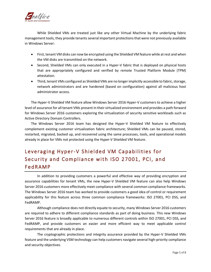

While Shielded VMs are treated just like any other Virtual Machine by the underlying fabric management tools, they provide tenants several important protections that were not previously available in Windows Server:

- First, tenant VM disks can now be encrypted using the Shielded VM feature while at rest and when the VM disks are transmitted on the network.
- Second, Shielded VMs can only executed in a Hyper-V fabric that is deployed on physical hosts that are appropriately configured and verified by remote Trusted Platform Module (TPM) attestation.
- Third, tenant VMs configured as Shielded VMs are no longer implicitly accessible to fabric, storage, network administrators and are hardened (based on configuration) against all malicious host administrator access.

The Hyper-V Shielded VM feature allow Windows Server 2016 Hyper-V customers to achieve a higher level of assurance for all tenant VMs present in their virtualized environment and provides a path forward for Windows Server 2016 customers exploring the virtualization of security sensitive workloads such as Active Directory Domain Controllers.

The Windows Server 2016 team has designed the Hyper-V Shielded VM feature to effectively complement existing customer virtualization fabric architecture; Shielded VMs can be paused, stored, restarted, migrated, backed up, and recovered using the same processes, tools, and operational models already in place for VMs not protected using the Hyper-V Shielded VM feature.

# <span id="page-4-0"></span>Leveraging Hyper-V Shielded VM Capabilities for Security and Compliance with ISO 27001, PCI, and **FedRAMP**

In addition to providing customers a powerful and effective way of providing encryption and assurance capabilities for tenant VMs, the new Hyper-V Shielded VM feature can also help Windows Server 2016 customers more effectively meet compliance with several common compliance frameworks. The Windows Server 2016 team has worked to provide customers a good idea of control or requirement applicability for this feature across three common compliance frameworks: ISO 27001, PCI DSS, and FedRAMP.

Although compliance does not directly equate to security, many Windows Server 2016 customers are required to adhere to different compliance standards as part of doing business. This new Windows Server 2016 feature is broadly applicable to numerous different controls within ISO 27001, PCI DSS, and FedRAMP, and provide customers an easier and more efficient way to meet applicable control requirements that are already in place.

The cryptographic protections and integrity assurance provided by the Hyper-V Shielded VMs feature and the underlying VSM technology can help customers navigate several high-priority compliance and security objectives.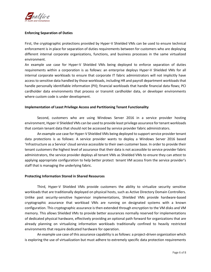

#### **Enforcing Separation of Duties**

First, the cryptographic protections provided by Hyper-V Shielded VMs can be used to ensure technical enforcement is in place for separation of duties requirements between for customers who are deploying different internal corporate organizations, functions, and business processes in the same virtualized environment.

An example use case for Hyper-V Shielded VMs being deployed to enforce separation of duties requirements within a corporation is as follows: an enterprise deploys Hyper-V Shielded VMs for all internal corporate workloads to ensure that corporate IT fabric administrators will not implicitly have access to sensitive data handled by those workloads, including HR and payroll department workloads that handle personally identifiable information (PII); financial workloads that handle financial data flows; PCI cardholder data environments that process or transmit cardholder data, or developer environments where custom code is under development.

#### **Implementation of Least Privilege Access and Partitioning Tenant Functionality**

Second, customers who are using Windows Server 2016 in a service provider hosting environment, Hyper-V Shielded VMs can be used to provide least privilege assurance for tenant workloads that contain tenant data that should not be accessed by service provider fabric administrators.

An example use case for Hyper-V Shielded VMs being deployed to support service provider tenant data protections is as follows: A service provider wants to deploy a Windows Server 2016 based 'Infrastructure as a Service' cloud service accessible to their own customer base. In order to provide their tenant customers the highest level of assurance that their data is not accessible to service provider fabric administrators, the service provider deploys all tenant VMs as Shielded VMs to ensure they can attest to applying appropriate configuration to help better protect tenant VM access from the service provider's staff that is managing the underlying fabric.

#### **Protecting Information Stored in Shared Resources**

Third, Hyper-V Shielded VMs provide customers the ability to virtualize security sensitive workloads that are traditionally deployed on physical hosts, such as Active Directory Domain Controllers. Unlike past security-sensitive hypervisor implementations, Shielded VMs provide hardware-based cryptographic assurance that workload VMs are running on designated systems with a known configuration. This cryptographic assurance is then extended through encryption to the VM disks and VM memory. This allows Shielded VMs to provide better assurances normally reserved for implementations of dedicated physical hardware, effectively providing an optional path forward for organizations that are already planning on virtualizing information workloads traditionally confined to heavily restricted environments that require dedicated hardware for operation.

An example use case of this assurance capability is as follows: a project-driven organization which is exploring the use of virtualization but must adhere to extremely specific data protection requirements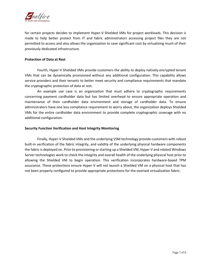

for certain projects decides to implement Hyper-V Shielded VMs for project workloads. This decision is made to help better protect from IT and fabric administrators accessing project files they are not permitted to access and also allows the organization to save significant cost by virtualizing much of their previously dedicated infrastructure.

#### **Protection of Data at Rest**

Fourth, Hyper-V Shielded VMs provide customers the ability to deploy natively encrypted tenant VMs that can be dynamically provisioned without any additional configuration. This capability allows service providers and their tenants to better meet security and compliance requirements that mandate the cryptographic protection of data at rest.

An example use case is an organization that must adhere to cryptographic requirements concerning payment cardholder data but has limited overhead to ensure appropriate operation and maintenance of their cardholder data environment and storage of cardholder data. To ensure administrators have one less compliance requirement to worry about, the organization deploys Shielded VMs for the entire cardholder data environment to provide complete cryptographic coverage with no additional configuration.

#### **Security Function Verification and Host Integrity Monitoring**

Finally, Hyper-V Shielded VMs and the underlying VSM technology provide customers with robust built-in verification of the fabric integrity, and validity of the underlying physical hardware components the fabric is deployed on. Prior to provisioning or starting up a Shielded VM, Hyper-V and related Windows Server technologies work to check the integrity and overall health of the underlying physical host prior to allowing the Shielded VM to begin operation. This verification incorporates hardware-based TPM assurance. These protections ensure Hyper-V will not launch a Shielded VM on a physical host that has not been properly configured to provide appropriate protections for the overlaid virtualization fabric.